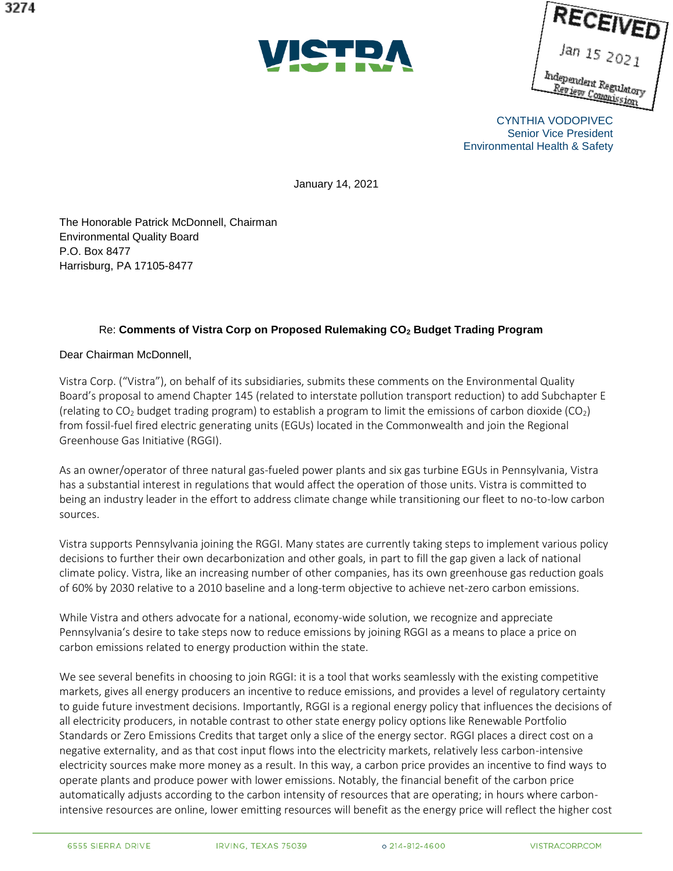|                                             | ECEIVE      |  |
|---------------------------------------------|-------------|--|
|                                             | Jan 15 2021 |  |
| hidependent Regulatory<br>Review Commission |             |  |

CYNTHIA VODOPIVEC Senior Vice President Environmental Health & Safety

January 14, 2021

The Honorable Patrick McDonnell, Chairman Environmental Quality Board P.O. Box 8477 Harrisburg, PA 17105-8477

## Re: **Comments of Vistra Corp on Proposed Rulemaking CO<sup>2</sup> Budget Trading Program**

Dear Chairman McDonnell,

Vistra Corp. ("Vistra"), on behalf of its subsidiaries, submits these comments on the Environmental Quality Board's proposal to amend Chapter 145 (related to interstate pollution transport reduction) to add Subchapter E (relating to  $CO_2$  budget trading program) to establish a program to limit the emissions of carbon dioxide ( $CO_2$ ) from fossil-fuel fired electric generating units (EGUs) located in the Commonwealth and join the Regional Greenhouse Gas Initiative (RGGI).

As an owner/operator of three natural gas-fueled power plants and six gas turbine EGUs in Pennsylvania, Vistra has a substantial interest in regulations that would affect the operation of those units. Vistra is committed to being an industry leader in the effort to address climate change while transitioning our fleet to no-to-low carbon sources.

Vistra supports Pennsylvania joining the RGGI. Many states are currently taking steps to implement various policy decisions to further their own decarbonization and other goals, in part to fill the gap given a lack of national climate policy. Vistra, like an increasing number of other companies, has its own greenhouse gas reduction goals of 60% by 2030 relative to a 2010 baseline and a long-term objective to achieve net-zero carbon emissions.

While Vistra and others advocate for a national, economy-wide solution, we recognize and appreciate Pennsylvania's desire to take steps now to reduce emissions by joining RGGI as a means to place a price on carbon emissions related to energy production within the state.

We see several benefits in choosing to join RGGI: it is a tool that works seamlessly with the existing competitive markets, gives all energy producers an incentive to reduce emissions, and provides a level of regulatory certainty to guide future investment decisions. Importantly, RGGI is a regional energy policy that influences the decisions of all electricity producers, in notable contrast to other state energy policy options like Renewable Portfolio Standards or Zero Emissions Credits that target only a slice of the energy sector. RGGI places a direct cost on a negative externality, and as that cost input flows into the electricity markets, relatively less carbon-intensive electricity sources make more money as a result. In this way, a carbon price provides an incentive to find ways to operate plants and produce power with lower emissions. Notably, the financial benefit of the carbon price automatically adjusts according to the carbon intensity of resources that are operating; in hours where carbonintensive resources are online, lower emitting resources will benefit as the energy price will reflect the higher cost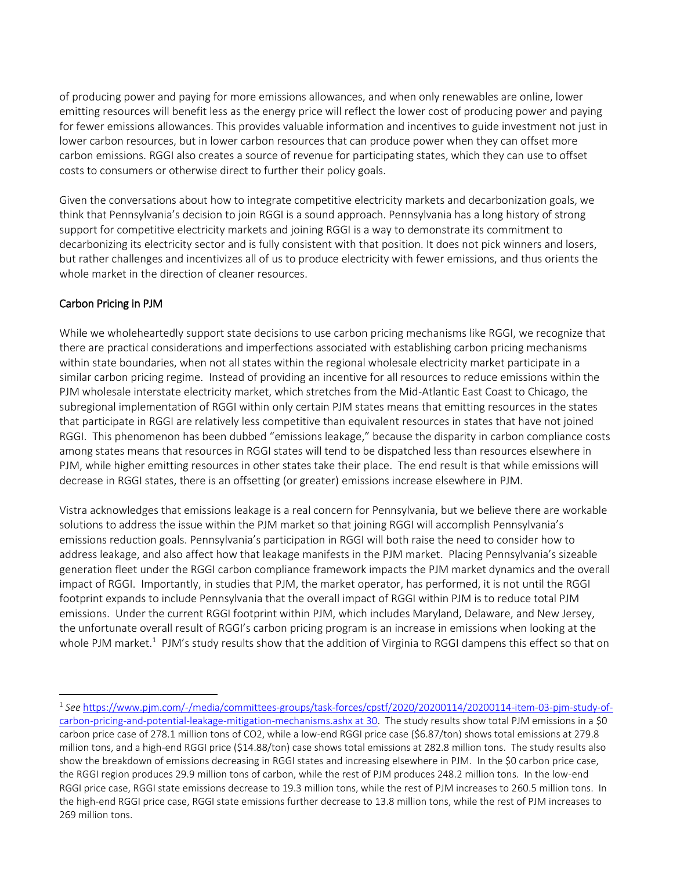of producing power and paying for more emissions allowances, and when only renewables are online, lower emitting resources will benefit less as the energy price will reflect the lower cost of producing power and paying for fewer emissions allowances. This provides valuable information and incentives to guide investment not just in lower carbon resources, but in lower carbon resources that can produce power when they can offset more carbon emissions. RGGI also creates a source of revenue for participating states, which they can use to offset costs to consumers or otherwise direct to further their policy goals.

Given the conversations about how to integrate competitive electricity markets and decarbonization goals, we think that Pennsylvania's decision to join RGGI is a sound approach. Pennsylvania has a long history of strong support for competitive electricity markets and joining RGGI is a way to demonstrate its commitment to decarbonizing its electricity sector and is fully consistent with that position. It does not pick winners and losers, but rather challenges and incentivizes all of us to produce electricity with fewer emissions, and thus orients the whole market in the direction of cleaner resources.

## Carbon Pricing in PJM

 $\overline{\phantom{a}}$ 

While we wholeheartedly support state decisions to use carbon pricing mechanisms like RGGI, we recognize that there are practical considerations and imperfections associated with establishing carbon pricing mechanisms within state boundaries, when not all states within the regional wholesale electricity market participate in a similar carbon pricing regime. Instead of providing an incentive for all resources to reduce emissions within the PJM wholesale interstate electricity market, which stretches from the Mid-Atlantic East Coast to Chicago, the subregional implementation of RGGI within only certain PJM states means that emitting resources in the states that participate in RGGI are relatively less competitive than equivalent resources in states that have not joined RGGI. This phenomenon has been dubbed "emissions leakage," because the disparity in carbon compliance costs among states means that resources in RGGI states will tend to be dispatched less than resources elsewhere in PJM, while higher emitting resources in other states take their place. The end result is that while emissions will decrease in RGGI states, there is an offsetting (or greater) emissions increase elsewhere in PJM.

Vistra acknowledges that emissions leakage is a real concern for Pennsylvania, but we believe there are workable solutions to address the issue within the PJM market so that joining RGGI will accomplish Pennsylvania's emissions reduction goals. Pennsylvania's participation in RGGI will both raise the need to consider how to address leakage, and also affect how that leakage manifests in the PJM market. Placing Pennsylvania's sizeable generation fleet under the RGGI carbon compliance framework impacts the PJM market dynamics and the overall impact of RGGI. Importantly, in studies that PJM, the market operator, has performed, it is not until the RGGI footprint expands to include Pennsylvania that the overall impact of RGGI within PJM is to reduce total PJM emissions. Under the current RGGI footprint within PJM, which includes Maryland, Delaware, and New Jersey, the unfortunate overall result of RGGI's carbon pricing program is an increase in emissions when looking at the whole PJM market.<sup>1</sup> PJM's study results show that the addition of Virginia to RGGI dampens this effect so that on

<sup>1</sup> *See* https://www.pjm.com/-/media/committees-groups/task-forces/cpstf/2020/20200114/20200114-item-03-pjm-study-ofcarbon-pricing-and-potential-leakage-mitigation-mechanisms.ashx at 30. The study results show total PJM emissions in a \$0 carbon price case of 278.1 million tons of CO2, while a low-end RGGI price case (\$6.87/ton) shows total emissions at 279.8 million tons, and a high-end RGGI price (\$14.88/ton) case shows total emissions at 282.8 million tons. The study results also show the breakdown of emissions decreasing in RGGI states and increasing elsewhere in PJM. In the \$0 carbon price case, the RGGI region produces 29.9 million tons of carbon, while the rest of PJM produces 248.2 million tons. In the low-end RGGI price case, RGGI state emissions decrease to 19.3 million tons, while the rest of PJM increases to 260.5 million tons. In the high-end RGGI price case, RGGI state emissions further decrease to 13.8 million tons, while the rest of PJM increases to 269 million tons.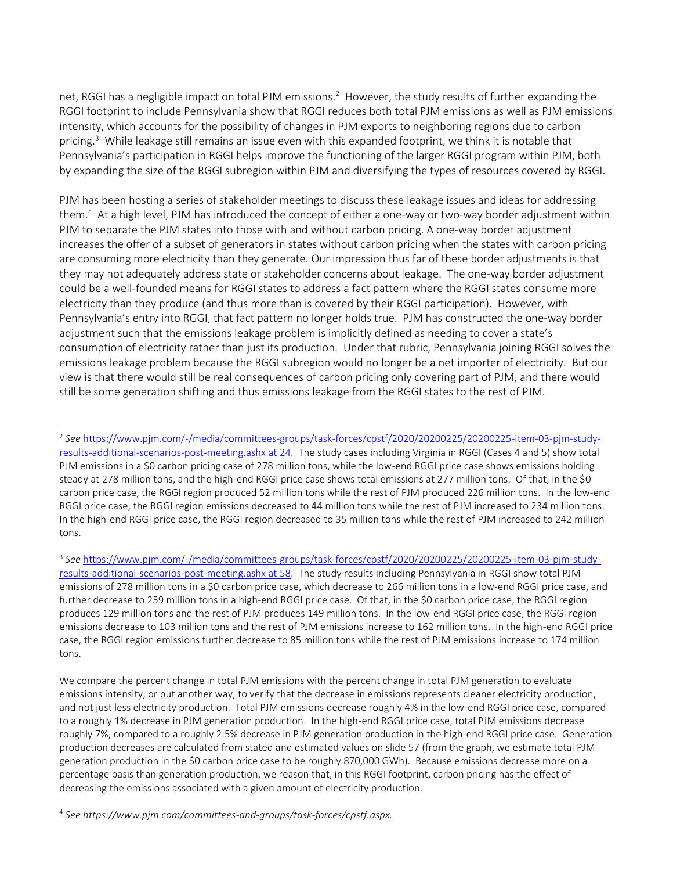net, RGGI has a negligible impact on total PJM emissions.<sup>2</sup> However, the study results of further expanding the RGGI footprint to include Pennsylvania show that RGGI reduces both total PJM emissions as well as PJM emissions intensity, which accounts for the possibility of changes in PJM exports to neighboring regions due to carbon pricing.<sup>3</sup> While leakage still remains an issue even with this expanded footprint, we think it is notable that Pennsylvania's participation in RGGI helps improve the functioning of the larger RGGI program within PJM, both by expanding the size of the RGGI subregion within PJM and diversifying the types of resources covered by RGGI.

PJM has been hosting a series of stakeholder meetings to discuss these leakage issues and ideas for addressing them.<sup>4</sup> At a high level, PJM has introduced the concept of either a one-way or two-way border adjustment within PJM to separate the PJM states into those with and without carbon pricing. A one-way border adjustment increases the offer of a subset of generators in states without carbon pricing when the states with carbon pricing are consuming more electricity than they generate. Our impression thus far of these border adjustments is that they may not adequately address state or stakeholder concerns about leakage. The one-way border adjustment could be a well-founded means for RGGI states to address a fact pattern where the RGGI states consume more electricity than they produce (and thus more than is covered by their RGGI participation). However, with Pennsylvania's entry into RGGI, that fact pattern no longer holds true. PJM has constructed the one-way border adjustment such that the emissions leakage problem is implicitly defined as needing to cover a state's consumption of electricity rather than just its production. Under that rubric, Pennsylvania joining RGGI solves the emissions leakage problem because the RGGI subregion would no longer be a net importer of electricity. But our view is that there would still be real consequences of carbon pricing only covering part of PJM, and there would still be some generation shifting and thus emissions leakage from the RGGI states to the rest of PJM.

 $\overline{\phantom{a}}$ 

<sup>2</sup> *See* https://www.pjm.com/-/media/committees-groups/task-forces/cpstf/2020/20200225/20200225-item-03-pjm-studyresults-additional-scenarios-post-meeting.ashx at 24. The study cases including Virginia in RGGI (Cases 4 and 5) show total PJM emissions in a \$0 carbon pricing case of 278 million tons, while the low-end RGGI price case shows emissions holding steady at 278 million tons, and the high-end RGGI price case shows total emissions at 277 million tons. Of that, in the \$0 carbon price case, the RGGI region produced 52 million tons while the rest of PJM produced 226 million tons. In the low-end RGGI price case, the RGGI region emissions decreased to 44 million tons while the rest of PJM increased to 234 million tons. In the high-end RGGI price case, the RGGI region decreased to 35 million tons while the rest of PJM increased to 242 million tons.

<sup>3</sup> *See* https://www.pjm.com/-/media/committees-groups/task-forces/cpstf/2020/20200225/20200225-item-03-pjm-studyresults-additional-scenarios-post-meeting.ashx at 58. The study results including Pennsylvania in RGGI show total PJM emissions of 278 million tons in a \$0 carbon price case, which decrease to 266 million tons in a low-end RGGI price case, and further decrease to 259 million tons in a high-end RGGI price case. Of that, in the \$0 carbon price case, the RGGI region produces 129 million tons and the rest of PJM produces 149 million tons. In the low-end RGGI price case, the RGGI region emissions decrease to 103 million tons and the rest of PJM emissions increase to 162 million tons. In the high-end RGGI price case, the RGGI region emissions further decrease to 85 million tons while the rest of PJM emissions increase to 174 million tons.

We compare the percent change in total PJM emissions with the percent change in total PJM generation to evaluate emissions intensity, or put another way, to verify that the decrease in emissions represents cleaner electricity production, and not just less electricity production. Total PJM emissions decrease roughly 4% in the low-end RGGI price case, compared to a roughly 1% decrease in PJM generation production. In the high-end RGGI price case, total PJM emissions decrease roughly 7%, compared to a roughly 2.5% decrease in PJM generation production in the high-end RGGI price case. Generation production decreases are calculated from stated and estimated values on slide 57 (from the graph, we estimate total PJM generation production in the \$0 carbon price case to be roughly 870,000 GWh). Because emissions decrease more on a percentage basis than generation production, we reason that, in this RGGI footprint, carbon pricing has the effect of decreasing the emissions associated with a given amount of electricity production.

<sup>4</sup> *See https://www.pjm.com/committees-and-groups/task-forces/cpstf.aspx.*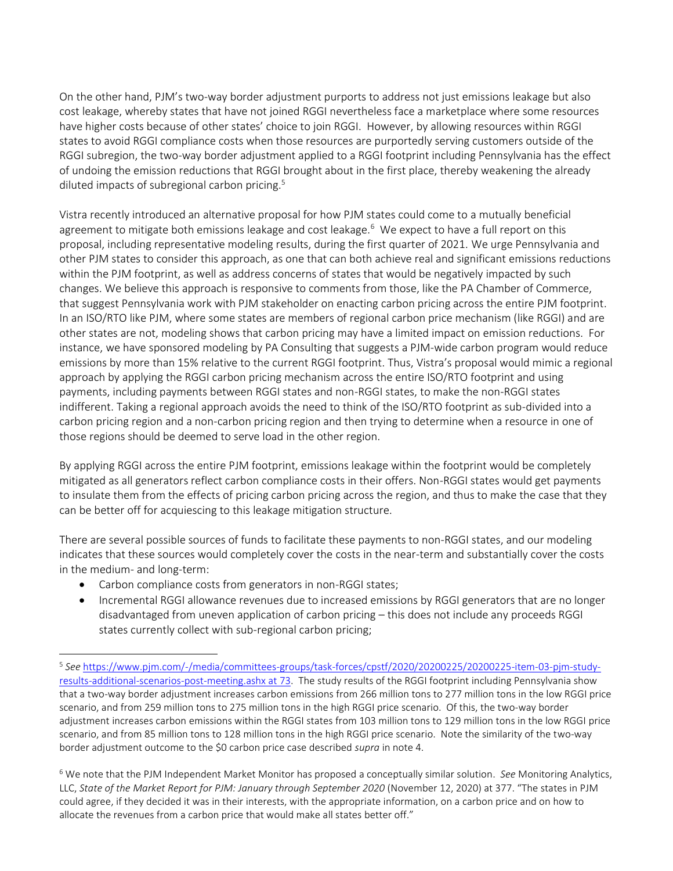On the other hand, PJM's two-way border adjustment purports to address not just emissions leakage but also cost leakage, whereby states that have not joined RGGI nevertheless face a marketplace where some resources have higher costs because of other states' choice to join RGGI. However, by allowing resources within RGGI states to avoid RGGI compliance costs when those resources are purportedly serving customers outside of the RGGI subregion, the two-way border adjustment applied to a RGGI footprint including Pennsylvania has the effect of undoing the emission reductions that RGGI brought about in the first place, thereby weakening the already diluted impacts of subregional carbon pricing.<sup>5</sup>

Vistra recently introduced an alternative proposal for how PJM states could come to a mutually beneficial agreement to mitigate both emissions leakage and cost leakage.<sup>6</sup> We expect to have a full report on this proposal, including representative modeling results, during the first quarter of 2021. We urge Pennsylvania and other PJM states to consider this approach, as one that can both achieve real and significant emissions reductions within the PJM footprint, as well as address concerns of states that would be negatively impacted by such changes. We believe this approach is responsive to comments from those, like the PA Chamber of Commerce, that suggest Pennsylvania work with PJM stakeholder on enacting carbon pricing across the entire PJM footprint. In an ISO/RTO like PJM, where some states are members of regional carbon price mechanism (like RGGI) and are other states are not, modeling shows that carbon pricing may have a limited impact on emission reductions. For instance, we have sponsored modeling by PA Consulting that suggests a PJM-wide carbon program would reduce emissions by more than 15% relative to the current RGGI footprint. Thus, Vistra's proposal would mimic a regional approach by applying the RGGI carbon pricing mechanism across the entire ISO/RTO footprint and using payments, including payments between RGGI states and non-RGGI states, to make the non-RGGI states indifferent. Taking a regional approach avoids the need to think of the ISO/RTO footprint as sub-divided into a carbon pricing region and a non-carbon pricing region and then trying to determine when a resource in one of those regions should be deemed to serve load in the other region.

By applying RGGI across the entire PJM footprint, emissions leakage within the footprint would be completely mitigated as all generators reflect carbon compliance costs in their offers. Non-RGGI states would get payments to insulate them from the effects of pricing carbon pricing across the region, and thus to make the case that they can be better off for acquiescing to this leakage mitigation structure.

There are several possible sources of funds to facilitate these payments to non-RGGI states, and our modeling indicates that these sources would completely cover the costs in the near-term and substantially cover the costs in the medium- and long-term:

• Carbon compliance costs from generators in non-RGGI states;

 $\overline{\phantom{a}}$ 

• Incremental RGGI allowance revenues due to increased emissions by RGGI generators that are no longer disadvantaged from uneven application of carbon pricing – this does not include any proceeds RGGI states currently collect with sub-regional carbon pricing;

<sup>5</sup> *See* https://www.pjm.com/-/media/committees-groups/task-forces/cpstf/2020/20200225/20200225-item-03-pjm-studyresults-additional-scenarios-post-meeting.ashx at 73. The study results of the RGGI footprint including Pennsylvania show that a two-way border adjustment increases carbon emissions from 266 million tons to 277 million tons in the low RGGI price scenario, and from 259 million tons to 275 million tons in the high RGGI price scenario. Of this, the two-way border adjustment increases carbon emissions within the RGGI states from 103 million tons to 129 million tons in the low RGGI price scenario, and from 85 million tons to 128 million tons in the high RGGI price scenario. Note the similarity of the two-way border adjustment outcome to the \$0 carbon price case described *supra* in note 4.

<sup>6</sup> We note that the PJM Independent Market Monitor has proposed a conceptually similar solution. *See* Monitoring Analytics, LLC, *State of the Market Report for PJM: January through September 2020* (November 12, 2020) at 377. "The states in PJM could agree, if they decided it was in their interests, with the appropriate information, on a carbon price and on how to allocate the revenues from a carbon price that would make all states better off."